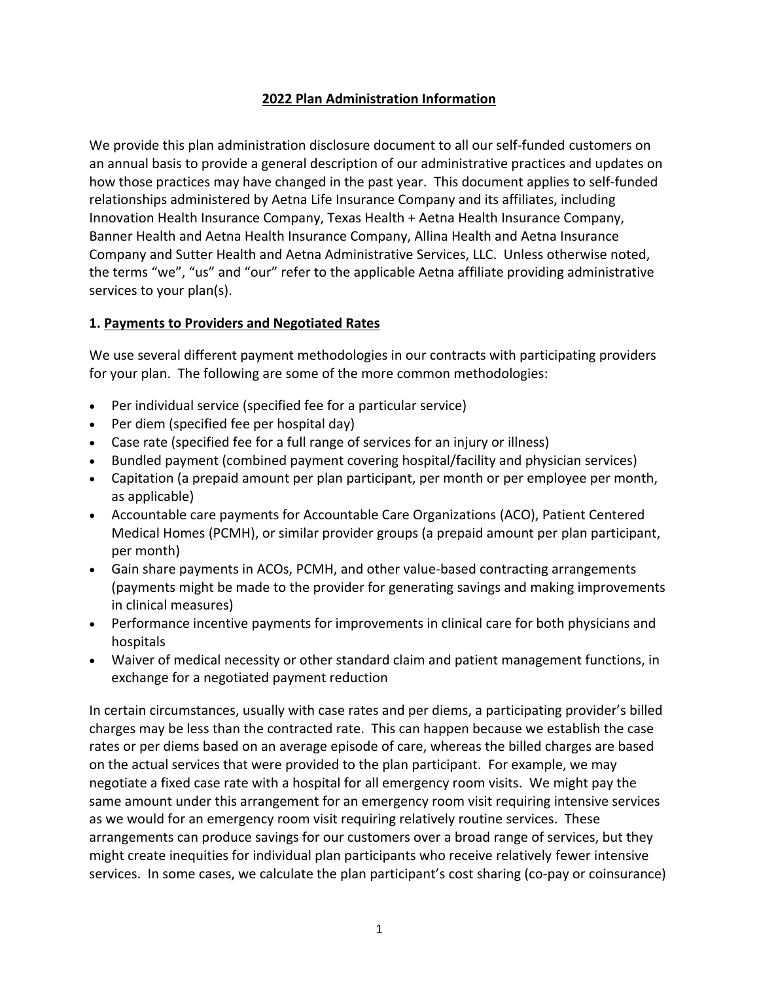### **2022 Plan Administration Information**

We provide this plan administration disclosure document to all our self-funded customers on an annual basis to provide a general description of our administrative practices and updates on how those practices may have changed in the past year. This document applies to self-funded relationships administered by Aetna Life Insurance Company and its affiliates, including Innovation Health Insurance Company, Texas Health + Aetna Health Insurance Company, Banner Health and Aetna Health Insurance Company, Allina Health and Aetna Insurance Company and Sutter Health and Aetna Administrative Services, LLC. Unless otherwise noted, the terms "we", "us" and "our" refer to the applicable Aetna affiliate providing administrative services to your plan(s).

### **1. Payments to Providers and Negotiated Rates**

We use several different payment methodologies in our contracts with participating providers for your plan. The following are some of the more common methodologies:

- Per individual service (specified fee for a particular service)
- Per diem (specified fee per hospital day)
- Case rate (specified fee for a full range of services for an injury or illness)
- Bundled payment (combined payment covering hospital/facility and physician services)
- Capitation (a prepaid amount per plan participant, per month or per employee per month, as applicable)
- Accountable care payments for Accountable Care Organizations (ACO), Patient Centered Medical Homes (PCMH), or similar provider groups (a prepaid amount per plan participant, per month)
- Gain share payments in ACOs, PCMH, and other value-based contracting arrangements (payments might be made to the provider for generating savings and making improvements in clinical measures)
- Performance incentive payments for improvements in clinical care for both physicians and hospitals
- Waiver of medical necessity or other standard claim and patient management functions, in exchange for a negotiated payment reduction

In certain circumstances, usually with case rates and per diems, a participating provider's billed charges may be less than the contracted rate. This can happen because we establish the case rates or per diems based on an average episode of care, whereas the billed charges are based on the actual services that were provided to the plan participant. For example, we may negotiate a fixed case rate with a hospital for all emergency room visits. We might pay the same amount under this arrangement for an emergency room visit requiring intensive services as we would for an emergency room visit requiring relatively routine services. These arrangements can produce savings for our customers over a broad range of services, but they might create inequities for individual plan participants who receive relatively fewer intensive services. In some cases, we calculate the plan participant's cost sharing (co-pay or coinsurance)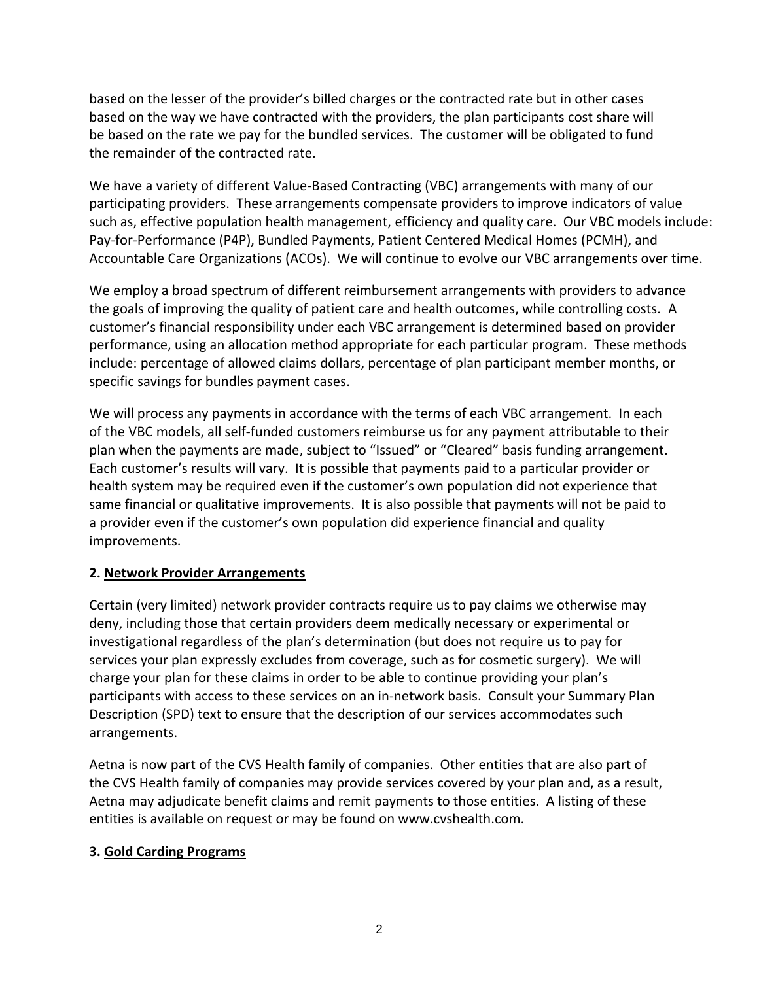based on the lesser of the provider's billed charges or the contracted rate but in other cases based on the way we have contracted with the providers, the plan participants cost share will be based on the rate we pay for the bundled services. The customer will be obligated to fund the remainder of the contracted rate.

We have a variety of different Value-Based Contracting (VBC) arrangements with many of our participating providers. These arrangements compensate providers to improve indicators of value such as, effective population health management, efficiency and quality care. Our VBC models include: Pay-for-Performance (P4P), Bundled Payments, Patient Centered Medical Homes (PCMH), and Accountable Care Organizations (ACOs). We will continue to evolve our VBC arrangements over time.

We employ a broad spectrum of different reimbursement arrangements with providers to advance the goals of improving the quality of patient care and health outcomes, while controlling costs. A customer's financial responsibility under each VBC arrangement is determined based on provider performance, using an allocation method appropriate for each particular program. These methods include: percentage of allowed claims dollars, percentage of plan participant member months, or specific savings for bundles payment cases.

We will process any payments in accordance with the terms of each VBC arrangement. In each of the VBC models, all self-funded customers reimburse us for any payment attributable to their plan when the payments are made, subject to "Issued" or "Cleared" basis funding arrangement. Each customer's results will vary. It is possible that payments paid to a particular provider or health system may be required even if the customer's own population did not experience that same financial or qualitative improvements. It is also possible that payments will not be paid to a provider even if the customer's own population did experience financial and quality improvements.

### **2. Network Provider Arrangements**

Certain (very limited) network provider contracts require us to pay claims we otherwise may deny, including those that certain providers deem medically necessary or experimental or investigational regardless of the plan's determination (but does not require us to pay for services your plan expressly excludes from coverage, such as for cosmetic surgery). We will charge your plan for these claims in order to be able to continue providing your plan's participants with access to these services on an in-network basis. Consult your Summary Plan Description (SPD) text to ensure that the description of our services accommodates such arrangements.

Aetna is now part of the CVS Health family of companies. Other entities that are also part of the CVS Health family of companies may provide services covered by your plan and, as a result, Aetna may adjudicate benefit claims and remit payments to those entities. A listing of these entities is available on request or may be found on www.cvshealth.com.

### **3. Gold Carding Programs**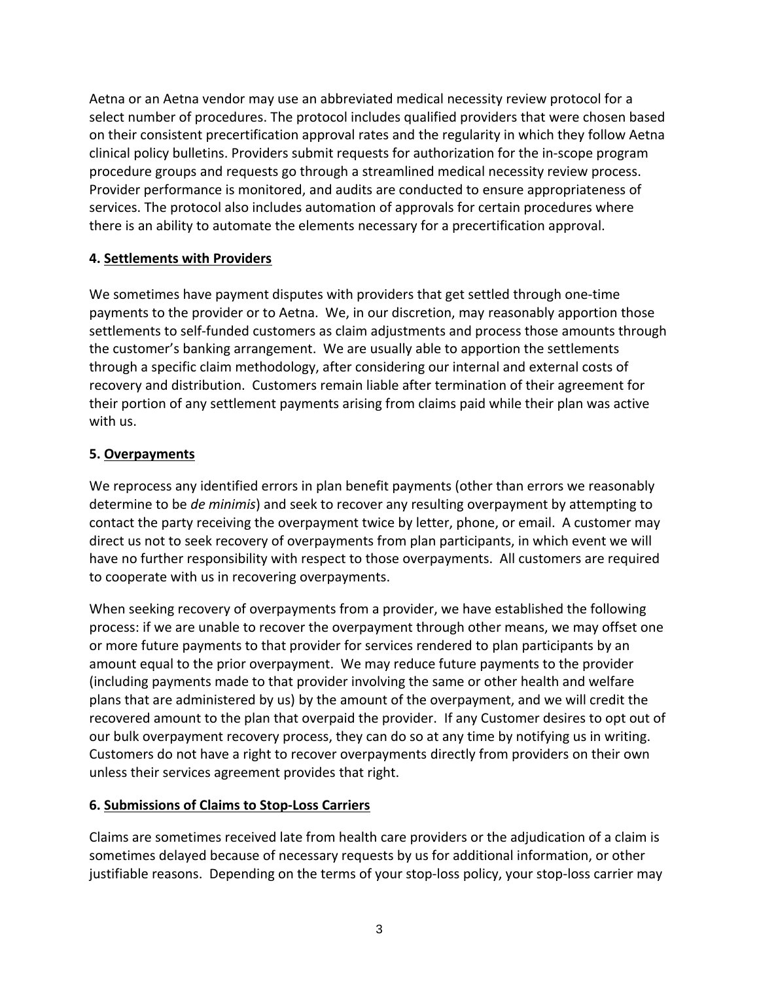Aetna or an Aetna vendor may use an abbreviated medical necessity review protocol for a select number of procedures. The protocol includes qualified providers that were chosen based on their consistent precertification approval rates and the regularity in which they follow Aetna clinical policy bulletins. Providers submit requests for authorization for the in-scope program procedure groups and requests go through a streamlined medical necessity review process. Provider performance is monitored, and audits are conducted to ensure appropriateness of services. The protocol also includes automation of approvals for certain procedures where there is an ability to automate the elements necessary for a precertification approval.

### **4. Settlements with Providers**

We sometimes have payment disputes with providers that get settled through one-time payments to the provider or to Aetna. We, in our discretion, may reasonably apportion those settlements to self-funded customers as claim adjustments and process those amounts through the customer's banking arrangement. We are usually able to apportion the settlements through a specific claim methodology, after considering our internal and external costs of recovery and distribution. Customers remain liable after termination of their agreement for their portion of any settlement payments arising from claims paid while their plan was active with us.

#### **5. Overpayments**

We reprocess any identified errors in plan benefit payments (other than errors we reasonably determine to be *de minimis*) and seek to recover any resulting overpayment by attempting to contact the party receiving the overpayment twice by letter, phone, or email. A customer may direct us not to seek recovery of overpayments from plan participants, in which event we will have no further responsibility with respect to those overpayments. All customers are required to cooperate with us in recovering overpayments.

When seeking recovery of overpayments from a provider, we have established the following process: if we are unable to recover the overpayment through other means, we may offset one or more future payments to that provider for services rendered to plan participants by an amount equal to the prior overpayment. We may reduce future payments to the provider (including payments made to that provider involving the same or other health and welfare plans that are administered by us) by the amount of the overpayment, and we will credit the recovered amount to the plan that overpaid the provider. If any Customer desires to opt out of our bulk overpayment recovery process, they can do so at any time by notifying us in writing. Customers do not have a right to recover overpayments directly from providers on their own unless their services agreement provides that right.

### **6. Submissions of Claims to Stop-Loss Carriers**

Claims are sometimes received late from health care providers or the adjudication of a claim is sometimes delayed because of necessary requests by us for additional information, or other justifiable reasons. Depending on the terms of your stop-loss policy, your stop-loss carrier may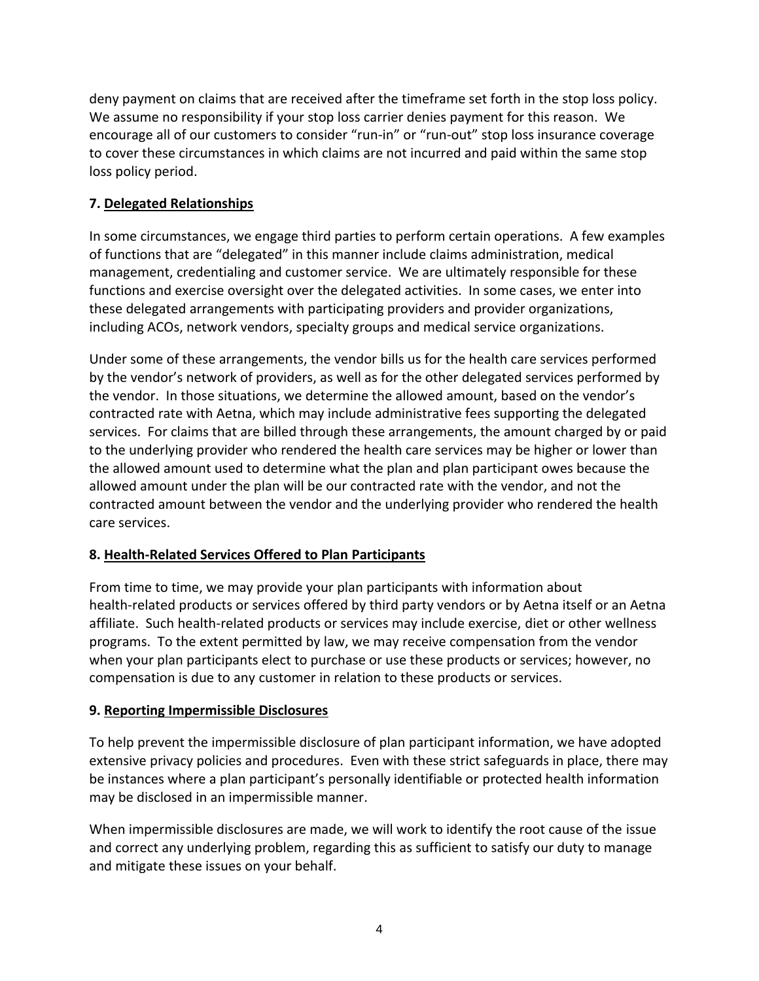deny payment on claims that are received after the timeframe set forth in the stop loss policy. We assume no responsibility if your stop loss carrier denies payment for this reason. We encourage all of our customers to consider "run-in" or "run-out" stop loss insurance coverage to cover these circumstances in which claims are not incurred and paid within the same stop loss policy period.

## **7. Delegated Relationships**

In some circumstances, we engage third parties to perform certain operations. A few examples of functions that are "delegated" in this manner include claims administration, medical management, credentialing and customer service. We are ultimately responsible for these functions and exercise oversight over the delegated activities. In some cases, we enter into these delegated arrangements with participating providers and provider organizations, including ACOs, network vendors, specialty groups and medical service organizations.

Under some of these arrangements, the vendor bills us for the health care services performed by the vendor's network of providers, as well as for the other delegated services performed by the vendor. In those situations, we determine the allowed amount, based on the vendor's contracted rate with Aetna, which may include administrative fees supporting the delegated services. For claims that are billed through these arrangements, the amount charged by or paid to the underlying provider who rendered the health care services may be higher or lower than the allowed amount used to determine what the plan and plan participant owes because the allowed amount under the plan will be our contracted rate with the vendor, and not the contracted amount between the vendor and the underlying provider who rendered the health care services.

## **8. Health-Related Services Offered to Plan Participants**

From time to time, we may provide your plan participants with information about health-related products or services offered by third party vendors or by Aetna itself or an Aetna affiliate. Such health-related products or services may include exercise, diet or other wellness programs. To the extent permitted by law, we may receive compensation from the vendor when your plan participants elect to purchase or use these products or services; however, no compensation is due to any customer in relation to these products or services.

### **9. Reporting Impermissible Disclosures**

To help prevent the impermissible disclosure of plan participant information, we have adopted extensive privacy policies and procedures. Even with these strict safeguards in place, there may be instances where a plan participant's personally identifiable or protected health information may be disclosed in an impermissible manner.

When impermissible disclosures are made, we will work to identify the root cause of the issue and correct any underlying problem, regarding this as sufficient to satisfy our duty to manage and mitigate these issues on your behalf.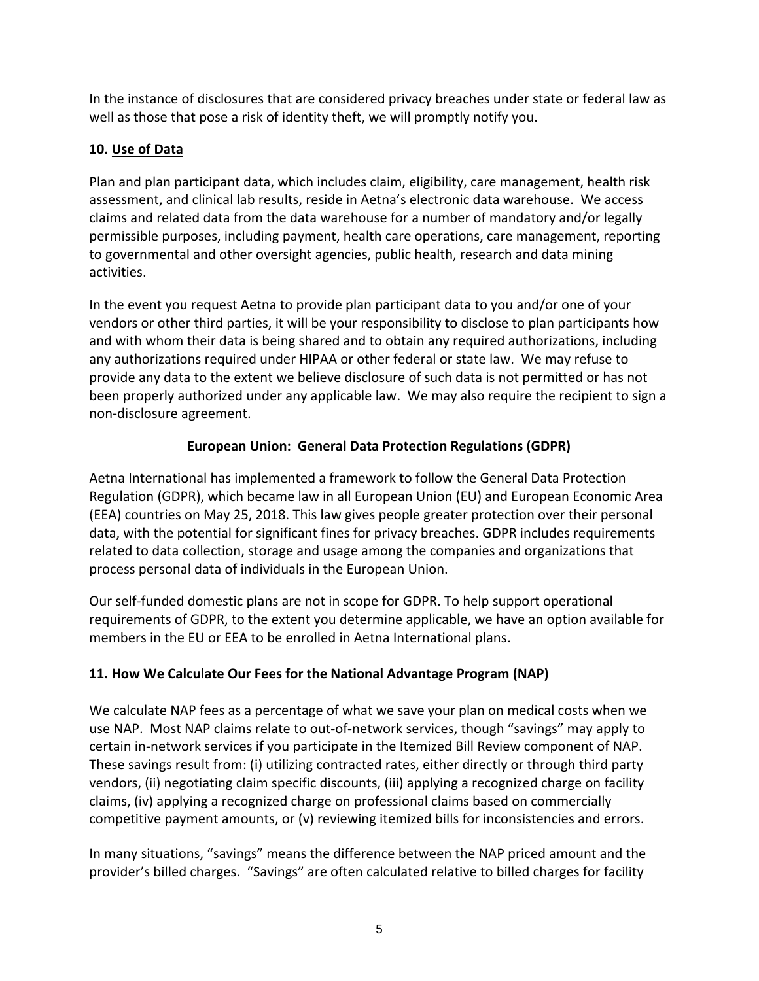In the instance of disclosures that are considered privacy breaches under state or federal law as well as those that pose a risk of identity theft, we will promptly notify you.

## **10. Use of Data**

Plan and plan participant data, which includes claim, eligibility, care management, health risk assessment, and clinical lab results, reside in Aetna's electronic data warehouse. We access claims and related data from the data warehouse for a number of mandatory and/or legally permissible purposes, including payment, health care operations, care management, reporting to governmental and other oversight agencies, public health, research and data mining activities.

In the event you request Aetna to provide plan participant data to you and/or one of your vendors or other third parties, it will be your responsibility to disclose to plan participants how and with whom their data is being shared and to obtain any required authorizations, including any authorizations required under HIPAA or other federal or state law. We may refuse to provide any data to the extent we believe disclosure of such data is not permitted or has not been properly authorized under any applicable law. We may also require the recipient to sign a non-disclosure agreement.

# **European Union: General Data Protection Regulations (GDPR)**

Aetna International has implemented a framework to follow the General Data Protection Regulation (GDPR), which became law in all European Union (EU) and European Economic Area (EEA) countries on May 25, 2018. This law gives people greater protection over their personal data, with the potential for significant fines for privacy breaches. GDPR includes requirements related to data collection, storage and usage among the companies and organizations that process personal data of individuals in the European Union.

Our self-funded domestic plans are not in scope for GDPR. To help support operational requirements of GDPR, to the extent you determine applicable, we have an option available for members in the EU or EEA to be enrolled in Aetna International plans.

# **11. How We Calculate Our Fees for the National Advantage Program (NAP)**

We calculate NAP fees as a percentage of what we save your plan on medical costs when we use NAP. Most NAP claims relate to out-of-network services, though "savings" may apply to certain in-network services if you participate in the Itemized Bill Review component of NAP. These savings result from: (i) utilizing contracted rates, either directly or through third party vendors, (ii) negotiating claim specific discounts, (iii) applying a recognized charge on facility claims, (iv) applying a recognized charge on professional claims based on commercially competitive payment amounts, or (v) reviewing itemized bills for inconsistencies and errors.

In many situations, "savings" means the difference between the NAP priced amount and the provider's billed charges. "Savings" are often calculated relative to billed charges for facility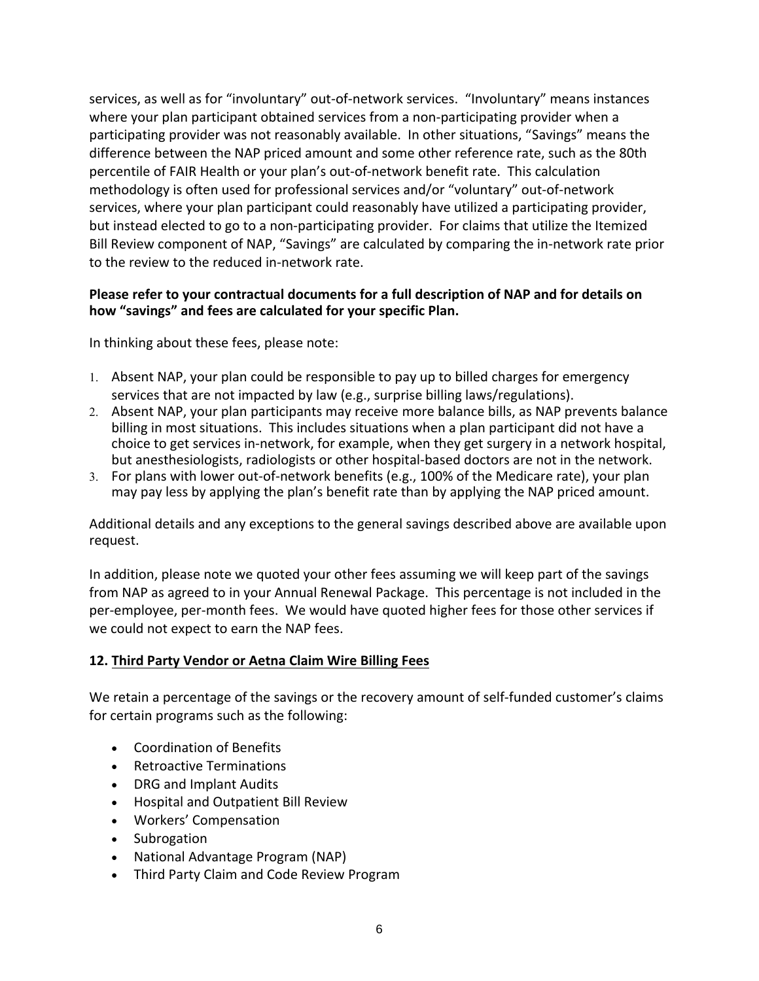services, as well as for "involuntary" out-of-network services. "Involuntary" means instances where your plan participant obtained services from a non-participating provider when a participating provider was not reasonably available. In other situations, "Savings" means the difference between the NAP priced amount and some other reference rate, such as the 80th percentile of FAIR Health or your plan's out-of-network benefit rate. This calculation methodology is often used for professional services and/or "voluntary" out-of-network services, where your plan participant could reasonably have utilized a participating provider, but instead elected to go to a non-participating provider. For claims that utilize the Itemized Bill Review component of NAP, "Savings" are calculated by comparing the in-network rate prior to the review to the reduced in-network rate.

#### **Please refer to your contractual documents for a full description of NAP and for details on how "savings" and fees are calculated for your specific Plan.**

In thinking about these fees, please note:

- 1. Absent NAP, your plan could be responsible to pay up to billed charges for emergency services that are not impacted by law (e.g., surprise billing laws/regulations).
- 2. Absent NAP, your plan participants may receive more balance bills, as NAP prevents balance billing in most situations. This includes situations when a plan participant did not have a choice to get services in-network, for example, when they get surgery in a network hospital, but anesthesiologists, radiologists or other hospital-based doctors are not in the network.
- 3. For plans with lower out-of-network benefits (e.g., 100% of the Medicare rate), your plan may pay less by applying the plan's benefit rate than by applying the NAP priced amount.

Additional details and any exceptions to the general savings described above are available upon request.

In addition, please note we quoted your other fees assuming we will keep part of the savings from NAP as agreed to in your Annual Renewal Package. This percentage is not included in the per-employee, per-month fees. We would have quoted higher fees for those other services if we could not expect to earn the NAP fees.

#### **12. Third Party Vendor or Aetna Claim Wire Billing Fees**

We retain a percentage of the savings or the recovery amount of self-funded customer's claims for certain programs such as the following:

- Coordination of Benefits
- Retroactive Terminations
- DRG and Implant Audits
- Hospital and Outpatient Bill Review
- Workers' Compensation
- Subrogation
- National Advantage Program (NAP)
- Third Party Claim and Code Review Program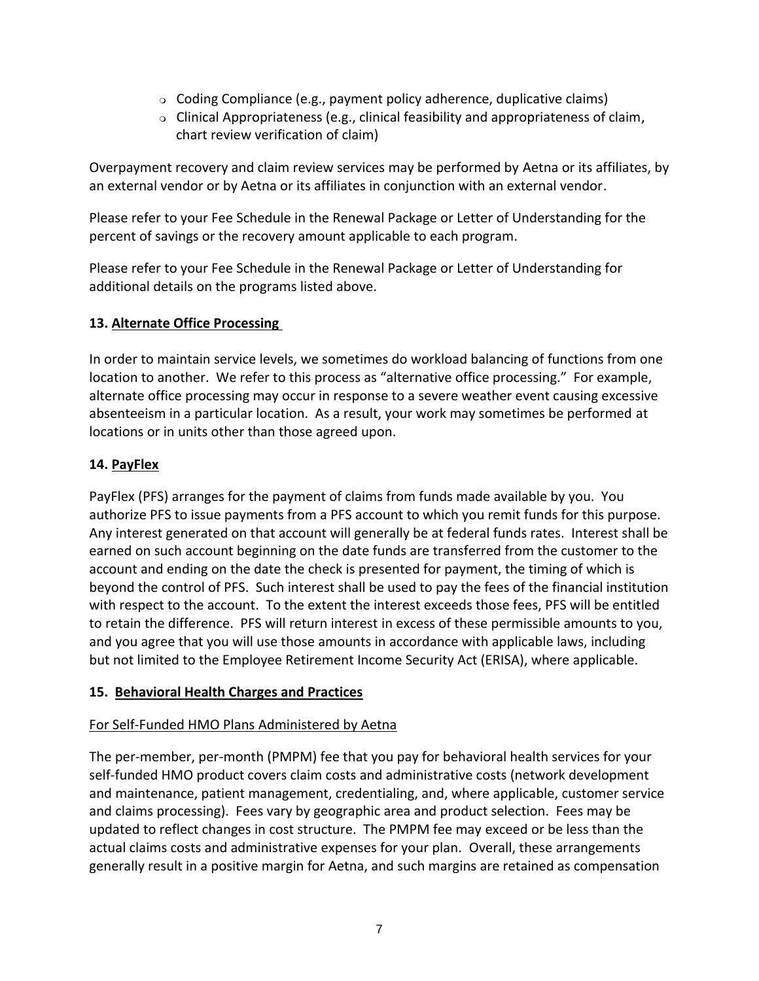- Coding Compliance (e.g., payment policy adherence, duplicative claims)
- $\circ$  Clinical Appropriateness (e.g., clinical feasibility and appropriateness of claim, chart review verification of claim)

Overpayment recovery and claim review services may be performed by Aetna or its affiliates, by an external vendor or by Aetna or its affiliates in conjunction with an external vendor.

Please refer to your Fee Schedule in the Renewal Package or Letter of Understanding for the percent of savings or the recovery amount applicable to each program.

Please refer to your Fee Schedule in the Renewal Package or Letter of Understanding for additional details on the programs listed above.

### **13. Alternate Office Processing**

In order to maintain service levels, we sometimes do workload balancing of functions from one location to another. We refer to this process as "alternative office processing." For example, alternate office processing may occur in response to a severe weather event causing excessive absenteeism in a particular location. As a result, your work may sometimes be performed at locations or in units other than those agreed upon.

### **14. PayFlex**

PayFlex (PFS) arranges for the payment of claims from funds made available by you. You authorize PFS to issue payments from a PFS account to which you remit funds for this purpose. Any interest generated on that account will generally be at federal funds rates. Interest shall be earned on such account beginning on the date funds are transferred from the customer to the account and ending on the date the check is presented for payment, the timing of which is beyond the control of PFS. Such interest shall be used to pay the fees of the financial institution with respect to the account. To the extent the interest exceeds those fees, PFS will be entitled to retain the difference. PFS will return interest in excess of these permissible amounts to you, and you agree that you will use those amounts in accordance with applicable laws, including but not limited to the Employee Retirement Income Security Act (ERISA), where applicable.

### **15. Behavioral Health Charges and Practices**

## For Self-Funded HMO Plans Administered by Aetna

The per-member, per-month (PMPM) fee that you pay for behavioral health services for your self-funded HMO product covers claim costs and administrative costs (network development and maintenance, patient management, credentialing, and, where applicable, customer service and claims processing). Fees vary by geographic area and product selection. Fees may be updated to reflect changes in cost structure. The PMPM fee may exceed or be less than the actual claims costs and administrative expenses for your plan. Overall, these arrangements generally result in a positive margin for Aetna, and such margins are retained as compensation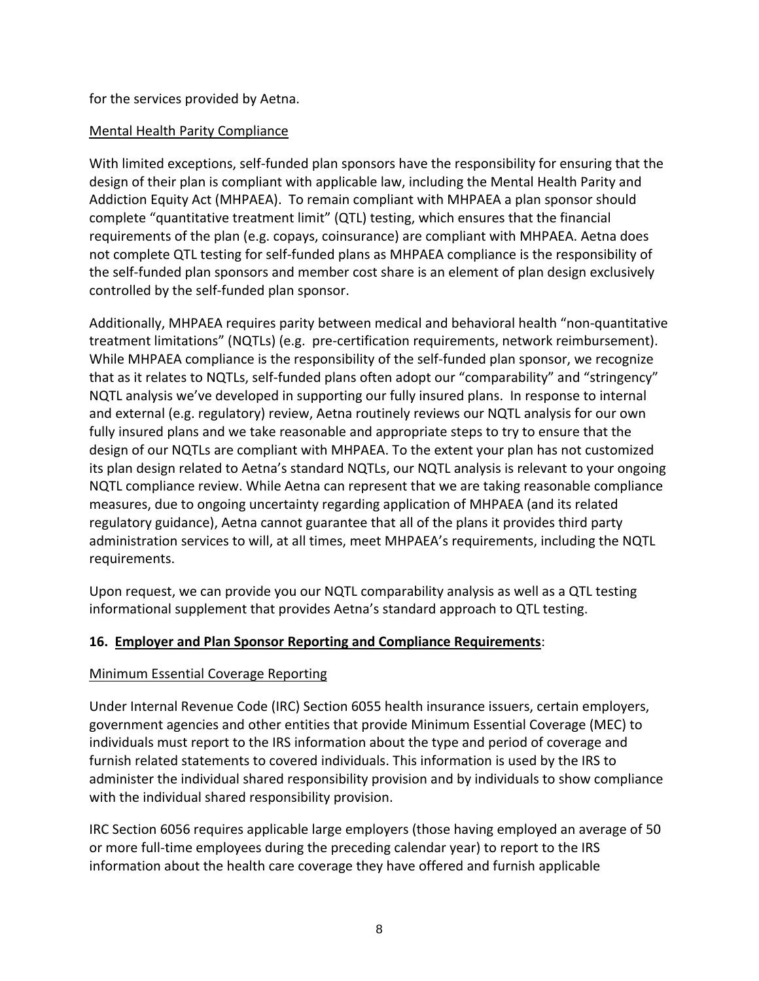for the services provided by Aetna.

### Mental Health Parity Compliance

With limited exceptions, self-funded plan sponsors have the responsibility for ensuring that the design of their plan is compliant with applicable law, including the Mental Health Parity and Addiction Equity Act (MHPAEA). To remain compliant with MHPAEA a plan sponsor should complete "quantitative treatment limit" (QTL) testing, which ensures that the financial requirements of the plan (e.g. copays, coinsurance) are compliant with MHPAEA. Aetna does not complete QTL testing for self-funded plans as MHPAEA compliance is the responsibility of the self-funded plan sponsors and member cost share is an element of plan design exclusively controlled by the self-funded plan sponsor.

Additionally, MHPAEA requires parity between medical and behavioral health "non-quantitative treatment limitations" (NQTLs) (e.g. pre-certification requirements, network reimbursement). While MHPAEA compliance is the responsibility of the self-funded plan sponsor, we recognize that as it relates to NQTLs, self-funded plans often adopt our "comparability" and "stringency" NQTL analysis we've developed in supporting our fully insured plans. In response to internal and external (e.g. regulatory) review, Aetna routinely reviews our NQTL analysis for our own fully insured plans and we take reasonable and appropriate steps to try to ensure that the design of our NQTLs are compliant with MHPAEA. To the extent your plan has not customized its plan design related to Aetna's standard NQTLs, our NQTL analysis is relevant to your ongoing NQTL compliance review. While Aetna can represent that we are taking reasonable compliance measures, due to ongoing uncertainty regarding application of MHPAEA (and its related regulatory guidance), Aetna cannot guarantee that all of the plans it provides third party administration services to will, at all times, meet MHPAEA's requirements, including the NQTL requirements.

Upon request, we can provide you our NQTL comparability analysis as well as a QTL testing informational supplement that provides Aetna's standard approach to QTL testing.

## **16. Employer and Plan Sponsor Reporting and Compliance Requirements**:

## Minimum Essential Coverage Reporting

Under Internal Revenue Code (IRC) Section 6055 health insurance issuers, certain employers, government agencies and other entities that provide Minimum Essential Coverage (MEC) to individuals must report to the IRS information about the type and period of coverage and furnish related statements to covered individuals. This information is used by the IRS to administer the individual shared responsibility provision and by individuals to show compliance with the individual shared responsibility provision.

IRC Section 6056 requires applicable large employers (those having employed an average of 50 or more full-time employees during the preceding calendar year) to report to the IRS information about the health care coverage they have offered and furnish applicable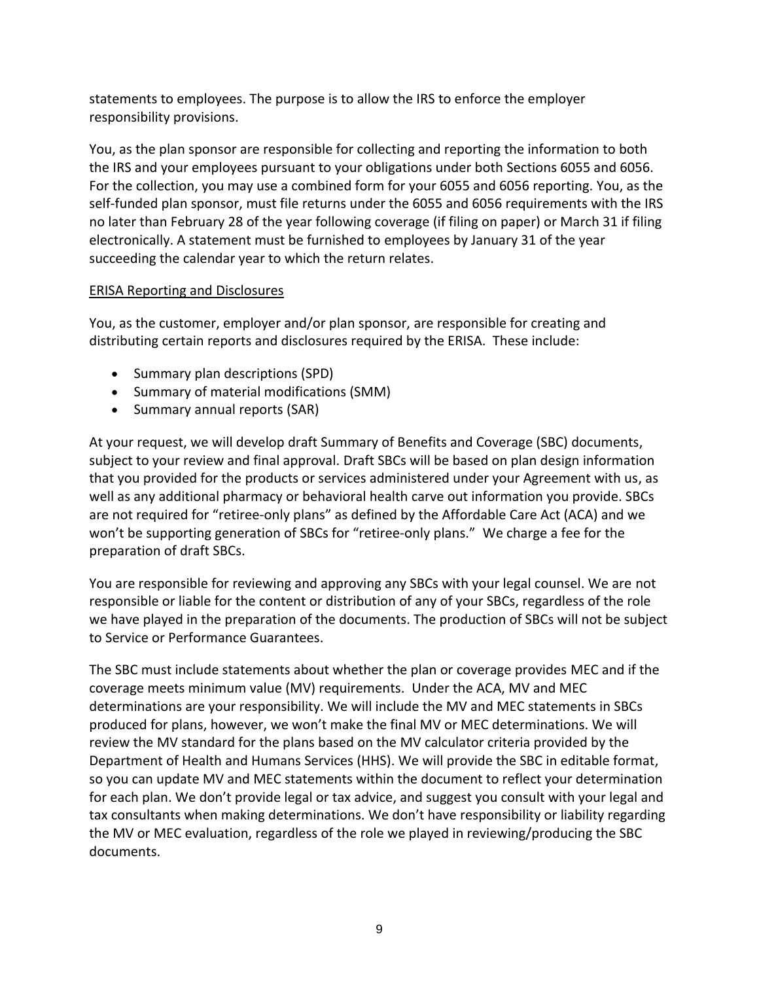statements to employees. The purpose is to allow the IRS to enforce the employer responsibility provisions.

You, as the plan sponsor are responsible for collecting and reporting the information to both the IRS and your employees pursuant to your obligations under both Sections 6055 and 6056. For the collection, you may use a combined form for your 6055 and 6056 reporting. You, as the self-funded plan sponsor, must file returns under the 6055 and 6056 requirements with the IRS no later than February 28 of the year following coverage (if filing on paper) or March 31 if filing electronically. A statement must be furnished to employees by January 31 of the year succeeding the calendar year to which the return relates.

### ERISA Reporting and Disclosures

You, as the customer, employer and/or plan sponsor, are responsible for creating and distributing certain reports and disclosures required by the ERISA. These include:

- Summary plan descriptions (SPD)
- Summary of material modifications (SMM)
- Summary annual reports (SAR)

At your request, we will develop draft Summary of Benefits and Coverage (SBC) documents, subject to your review and final approval. Draft SBCs will be based on plan design information that you provided for the products or services administered under your Agreement with us, as well as any additional pharmacy or behavioral health carve out information you provide. SBCs are not required for "retiree-only plans" as defined by the Affordable Care Act (ACA) and we won't be supporting generation of SBCs for "retiree-only plans." We charge a fee for the preparation of draft SBCs.

You are responsible for reviewing and approving any SBCs with your legal counsel. We are not responsible or liable for the content or distribution of any of your SBCs, regardless of the role we have played in the preparation of the documents. The production of SBCs will not be subject to Service or Performance Guarantees.

The SBC must include statements about whether the plan or coverage provides MEC and if the coverage meets minimum value (MV) requirements. Under the ACA, MV and MEC determinations are your responsibility. We will include the MV and MEC statements in SBCs produced for plans, however, we won't make the final MV or MEC determinations. We will review the MV standard for the plans based on the MV calculator criteria provided by the Department of Health and Humans Services (HHS). We will provide the SBC in editable format, so you can update MV and MEC statements within the document to reflect your determination for each plan. We don't provide legal or tax advice, and suggest you consult with your legal and tax consultants when making determinations. We don't have responsibility or liability regarding the MV or MEC evaluation, regardless of the role we played in reviewing/producing the SBC documents.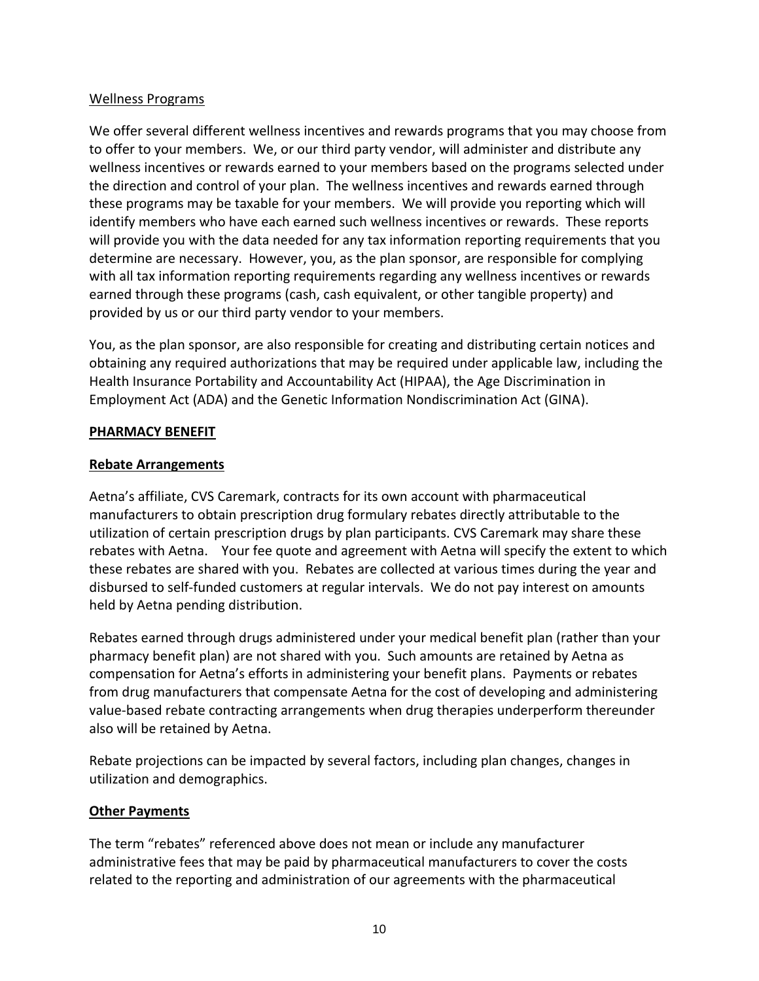#### Wellness Programs

We offer several different wellness incentives and rewards programs that you may choose from to offer to your members. We, or our third party vendor, will administer and distribute any wellness incentives or rewards earned to your members based on the programs selected under the direction and control of your plan. The wellness incentives and rewards earned through these programs may be taxable for your members. We will provide you reporting which will identify members who have each earned such wellness incentives or rewards. These reports will provide you with the data needed for any tax information reporting requirements that you determine are necessary. However, you, as the plan sponsor, are responsible for complying with all tax information reporting requirements regarding any wellness incentives or rewards earned through these programs (cash, cash equivalent, or other tangible property) and provided by us or our third party vendor to your members.

You, as the plan sponsor, are also responsible for creating and distributing certain notices and obtaining any required authorizations that may be required under applicable law, including the Health Insurance Portability and Accountability Act (HIPAA), the Age Discrimination in Employment Act (ADA) and the Genetic Information Nondiscrimination Act (GINA).

#### **PHARMACY BENEFIT**

#### **Rebate Arrangements**

Aetna's affiliate, CVS Caremark, contracts for its own account with pharmaceutical manufacturers to obtain prescription drug formulary rebates directly attributable to the utilization of certain prescription drugs by plan participants. CVS Caremark may share these rebates with Aetna. Your fee quote and agreement with Aetna will specify the extent to which these rebates are shared with you. Rebates are collected at various times during the year and disbursed to self-funded customers at regular intervals. We do not pay interest on amounts held by Aetna pending distribution.

Rebates earned through drugs administered under your medical benefit plan (rather than your pharmacy benefit plan) are not shared with you. Such amounts are retained by Aetna as compensation for Aetna's efforts in administering your benefit plans. Payments or rebates from drug manufacturers that compensate Aetna for the cost of developing and administering value-based rebate contracting arrangements when drug therapies underperform thereunder also will be retained by Aetna.

Rebate projections can be impacted by several factors, including plan changes, changes in utilization and demographics.

### **Other Payments**

The term "rebates" referenced above does not mean or include any manufacturer administrative fees that may be paid by pharmaceutical manufacturers to cover the costs related to the reporting and administration of our agreements with the pharmaceutical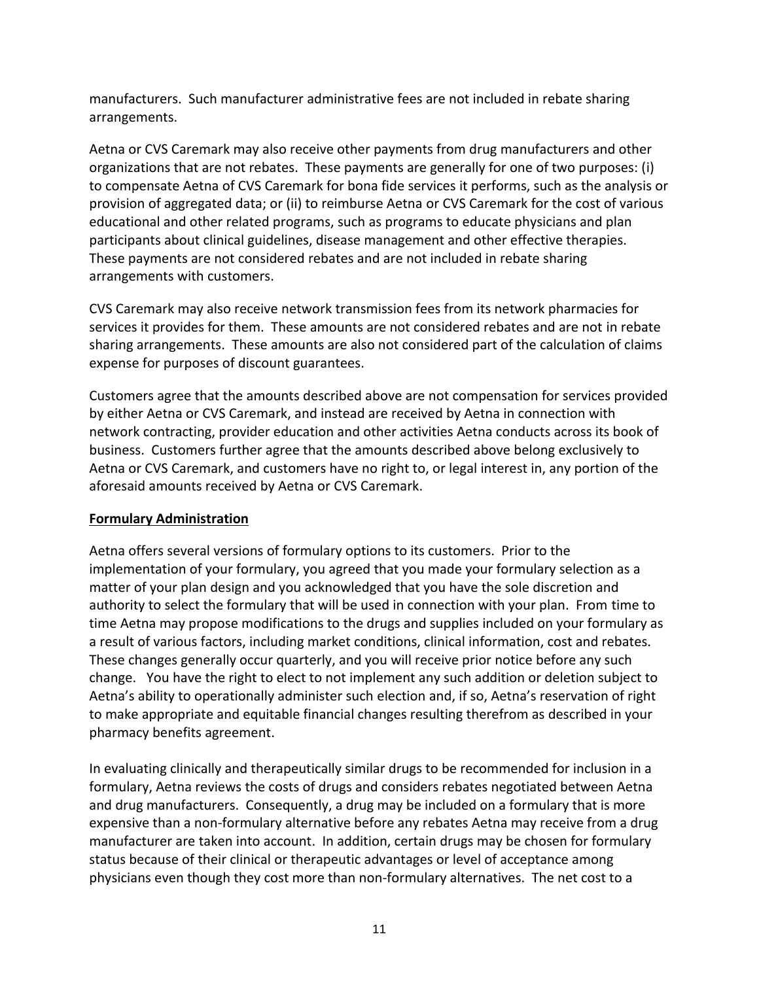manufacturers. Such manufacturer administrative fees are not included in rebate sharing arrangements.

Aetna or CVS Caremark may also receive other payments from drug manufacturers and other organizations that are not rebates. These payments are generally for one of two purposes: (i) to compensate Aetna of CVS Caremark for bona fide services it performs, such as the analysis or provision of aggregated data; or (ii) to reimburse Aetna or CVS Caremark for the cost of various educational and other related programs, such as programs to educate physicians and plan participants about clinical guidelines, disease management and other effective therapies. These payments are not considered rebates and are not included in rebate sharing arrangements with customers.

CVS Caremark may also receive network transmission fees from its network pharmacies for services it provides for them. These amounts are not considered rebates and are not in rebate sharing arrangements. These amounts are also not considered part of the calculation of claims expense for purposes of discount guarantees.

Customers agree that the amounts described above are not compensation for services provided by either Aetna or CVS Caremark, and instead are received by Aetna in connection with network contracting, provider education and other activities Aetna conducts across its book of business. Customers further agree that the amounts described above belong exclusively to Aetna or CVS Caremark, and customers have no right to, or legal interest in, any portion of the aforesaid amounts received by Aetna or CVS Caremark.

### **Formulary Administration**

Aetna offers several versions of formulary options to its customers. Prior to the implementation of your formulary, you agreed that you made your formulary selection as a matter of your plan design and you acknowledged that you have the sole discretion and authority to select the formulary that will be used in connection with your plan. From time to time Aetna may propose modifications to the drugs and supplies included on your formulary as a result of various factors, including market conditions, clinical information, cost and rebates. These changes generally occur quarterly, and you will receive prior notice before any such change. You have the right to elect to not implement any such addition or deletion subject to Aetna's ability to operationally administer such election and, if so, Aetna's reservation of right to make appropriate and equitable financial changes resulting therefrom as described in your pharmacy benefits agreement.

In evaluating clinically and therapeutically similar drugs to be recommended for inclusion in a formulary, Aetna reviews the costs of drugs and considers rebates negotiated between Aetna and drug manufacturers. Consequently, a drug may be included on a formulary that is more expensive than a non-formulary alternative before any rebates Aetna may receive from a drug manufacturer are taken into account. In addition, certain drugs may be chosen for formulary status because of their clinical or therapeutic advantages or level of acceptance among physicians even though they cost more than non-formulary alternatives. The net cost to a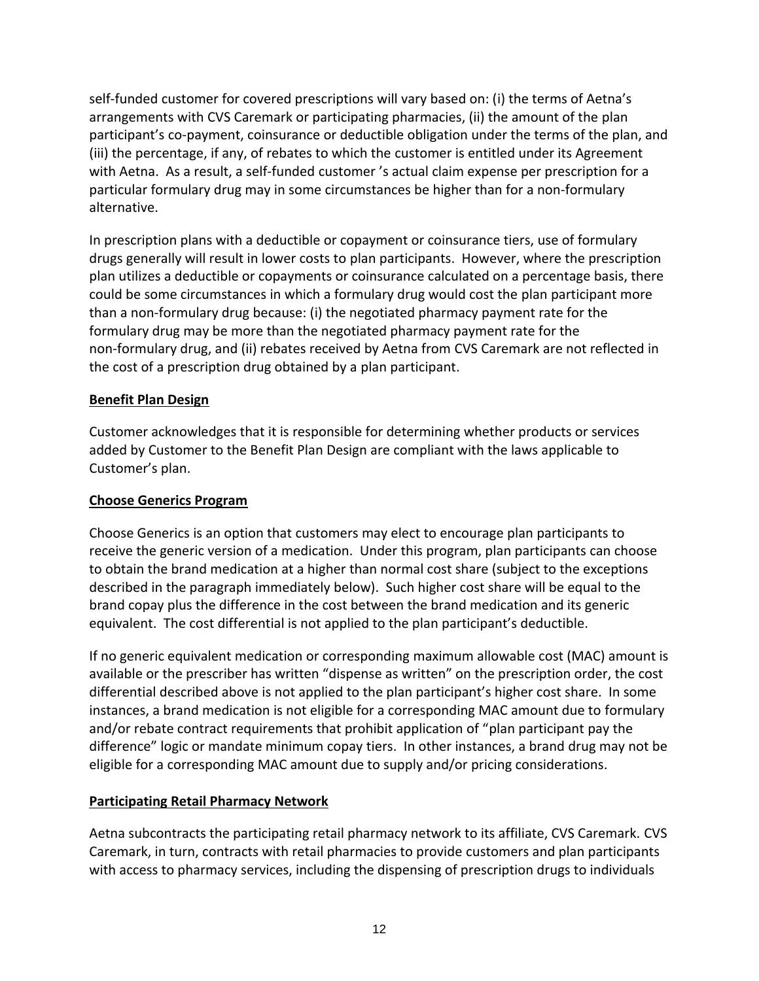self-funded customer for covered prescriptions will vary based on: (i) the terms of Aetna's arrangements with CVS Caremark or participating pharmacies, (ii) the amount of the plan participant's co-payment, coinsurance or deductible obligation under the terms of the plan, and (iii) the percentage, if any, of rebates to which the customer is entitled under its Agreement with Aetna. As a result, a self-funded customer 's actual claim expense per prescription for a particular formulary drug may in some circumstances be higher than for a non-formulary alternative.

In prescription plans with a deductible or copayment or coinsurance tiers, use of formulary drugs generally will result in lower costs to plan participants. However, where the prescription plan utilizes a deductible or copayments or coinsurance calculated on a percentage basis, there could be some circumstances in which a formulary drug would cost the plan participant more than a non-formulary drug because: (i) the negotiated pharmacy payment rate for the formulary drug may be more than the negotiated pharmacy payment rate for the non-formulary drug, and (ii) rebates received by Aetna from CVS Caremark are not reflected in the cost of a prescription drug obtained by a plan participant.

### **Benefit Plan Design**

Customer acknowledges that it is responsible for determining whether products or services added by Customer to the Benefit Plan Design are compliant with the laws applicable to Customer's plan.

### **Choose Generics Program**

Choose Generics is an option that customers may elect to encourage plan participants to receive the generic version of a medication. Under this program, plan participants can choose to obtain the brand medication at a higher than normal cost share (subject to the exceptions described in the paragraph immediately below). Such higher cost share will be equal to the brand copay plus the difference in the cost between the brand medication and its generic equivalent. The cost differential is not applied to the plan participant's deductible.

If no generic equivalent medication or corresponding maximum allowable cost (MAC) amount is available or the prescriber has written "dispense as written" on the prescription order, the cost differential described above is not applied to the plan participant's higher cost share. In some instances, a brand medication is not eligible for a corresponding MAC amount due to formulary and/or rebate contract requirements that prohibit application of "plan participant pay the difference" logic or mandate minimum copay tiers. In other instances, a brand drug may not be eligible for a corresponding MAC amount due to supply and/or pricing considerations.

## **Participating Retail Pharmacy Network**

Aetna subcontracts the participating retail pharmacy network to its affiliate, CVS Caremark. CVS Caremark, in turn, contracts with retail pharmacies to provide customers and plan participants with access to pharmacy services, including the dispensing of prescription drugs to individuals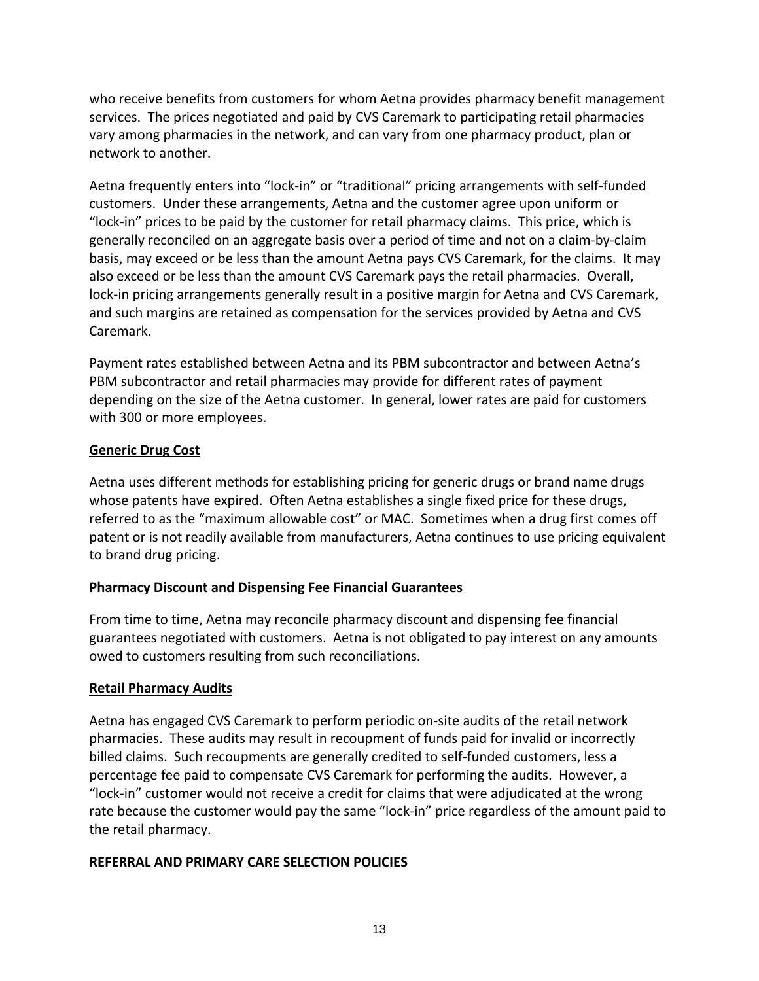who receive benefits from customers for whom Aetna provides pharmacy benefit management services. The prices negotiated and paid by CVS Caremark to participating retail pharmacies vary among pharmacies in the network, and can vary from one pharmacy product, plan or network to another.

Aetna frequently enters into "lock-in" or "traditional" pricing arrangements with self-funded customers. Under these arrangements, Aetna and the customer agree upon uniform or "lock-in" prices to be paid by the customer for retail pharmacy claims. This price, which is generally reconciled on an aggregate basis over a period of time and not on a claim-by-claim basis, may exceed or be less than the amount Aetna pays CVS Caremark, for the claims. It may also exceed or be less than the amount CVS Caremark pays the retail pharmacies. Overall, lock-in pricing arrangements generally result in a positive margin for Aetna and CVS Caremark, and such margins are retained as compensation for the services provided by Aetna and CVS Caremark.

Payment rates established between Aetna and its PBM subcontractor and between Aetna's PBM subcontractor and retail pharmacies may provide for different rates of payment depending on the size of the Aetna customer. In general, lower rates are paid for customers with 300 or more employees.

### **Generic Drug Cost**

Aetna uses different methods for establishing pricing for generic drugs or brand name drugs whose patents have expired. Often Aetna establishes a single fixed price for these drugs, referred to as the "maximum allowable cost" or MAC. Sometimes when a drug first comes off patent or is not readily available from manufacturers, Aetna continues to use pricing equivalent to brand drug pricing.

### **Pharmacy Discount and Dispensing Fee Financial Guarantees**

From time to time, Aetna may reconcile pharmacy discount and dispensing fee financial guarantees negotiated with customers. Aetna is not obligated to pay interest on any amounts owed to customers resulting from such reconciliations.

### **Retail Pharmacy Audits**

Aetna has engaged CVS Caremark to perform periodic on-site audits of the retail network pharmacies. These audits may result in recoupment of funds paid for invalid or incorrectly billed claims. Such recoupments are generally credited to self-funded customers, less a percentage fee paid to compensate CVS Caremark for performing the audits. However, a "lock-in" customer would not receive a credit for claims that were adjudicated at the wrong rate because the customer would pay the same "lock-in" price regardless of the amount paid to the retail pharmacy.

### **REFERRAL AND PRIMARY CARE SELECTION POLICIES**